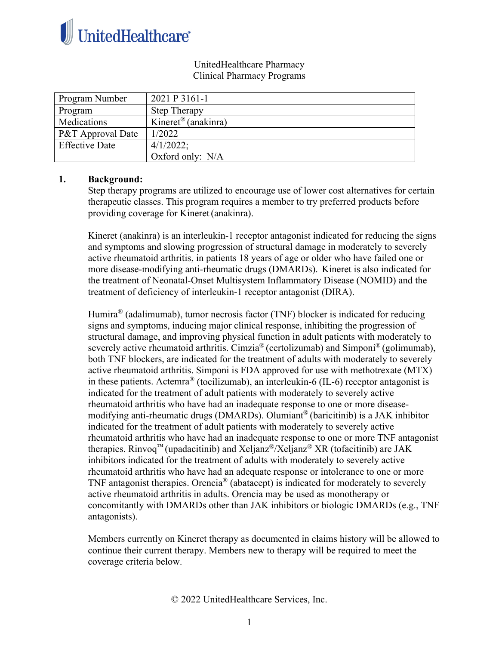

#### UnitedHealthcare Pharmacy Clinical Pharmacy Programs

| Program Number        | 2021 P 3161-1                   |
|-----------------------|---------------------------------|
| Program               | <b>Step Therapy</b>             |
| Medications           | Kineret <sup>®</sup> (anakinra) |
| P&T Approval Date     | 1/2022                          |
| <b>Effective Date</b> | $4/1/2022$ ;                    |
|                       | Oxford only: N/A                |

## **1. Background:**

Step therapy programs are utilized to encourage use of lower cost alternatives for certain therapeutic classes. This program requires a member to try preferred products before providing coverage for Kineret (anakinra).

Kineret (anakinra) is an interleukin-1 receptor antagonist indicated for reducing the signs and symptoms and slowing progression of structural damage in moderately to severely active rheumatoid arthritis, in patients 18 years of age or older who have failed one or more disease-modifying anti-rheumatic drugs (DMARDs). Kineret is also indicated for the treatment of Neonatal-Onset Multisystem Inflammatory Disease (NOMID) and the treatment of deficiency of interleukin-1 receptor antagonist (DIRA).

Humira® (adalimumab), tumor necrosis factor (TNF) blocker is indicated for reducing signs and symptoms, inducing major clinical response, inhibiting the progression of structural damage, and improving physical function in adult patients with moderately to severely active rheumatoid arthritis. Cimzia<sup>®</sup> (certolizumab) and Simponi<sup>®</sup> (golimumab), both TNF blockers, are indicated for the treatment of adults with moderately to severely active rheumatoid arthritis. Simponi is FDA approved for use with methotrexate (MTX) in these patients. Actemra® (tocilizumab), an interleukin-6 (IL-6) receptor antagonist is indicated for the treatment of adult patients with moderately to severely active rheumatoid arthritis who have had an inadequate response to one or more diseasemodifying anti-rheumatic drugs (DMARDs). Olumiant® (baricitinib) is a JAK inhibitor indicated for the treatment of adult patients with moderately to severely active rheumatoid arthritis who have had an inadequate response to one or more TNF antagonist therapies. Rinvoq<sup>™</sup> (upadacitinib) and Xeljanz<sup>®</sup>/Xeljanz<sup>®</sup> XR (tofacitinib) are JAK inhibitors indicated for the treatment of adults with moderately to severely active rheumatoid arthritis who have had an adequate response or intolerance to one or more TNF antagonist therapies. Orencia® (abatacept) is indicated for moderately to severely active rheumatoid arthritis in adults. Orencia may be used as monotherapy or concomitantly with DMARDs other than JAK inhibitors or biologic DMARDs (e.g., TNF antagonists).

Members currently on Kineret therapy as documented in claims history will be allowed to continue their current therapy. Members new to therapy will be required to meet the coverage criteria below.

© 2022 UnitedHealthcare Services, Inc.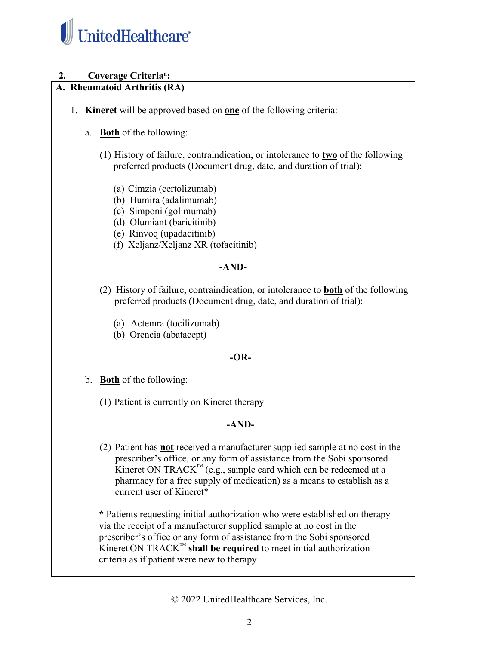

# 2. **Coverage Criteria<sup>a</sup>:**

# **A. Rheumatoid Arthritis (RA)**

- 1. **Kineret** will be approved based on **one** of the following criteria:
	- a. **Both** of the following:
		- (1) History of failure, contraindication, or intolerance to **two** of the following preferred products (Document drug, date, and duration of trial):
			- (a) Cimzia (certolizumab)
			- (b) Humira (adalimumab)
			- (c) Simponi (golimumab)
			- (d) Olumiant (baricitinib)
			- (e) Rinvoq (upadacitinib)
			- (f) Xeljanz/Xeljanz XR (tofacitinib)

## **-AND-**

- (2) History of failure, contraindication, or intolerance to **both** of the following preferred products (Document drug, date, and duration of trial):
	- (a) Actemra (tocilizumab)
	- (b) Orencia (abatacept)

## **-OR-**

- b. **Both** of the following:
	- (1) Patient is currently on Kineret therapy

## **-AND-**

(2) Patient has **not** received a manufacturer supplied sample at no cost in the prescriber's office, or any form of assistance from the Sobi sponsored Kineret ON TRACK<sup>™</sup> (e.g., sample card which can be redeemed at a pharmacy for a free supply of medication) as a means to establish as a current user of Kineret\*

**\*** Patients requesting initial authorization who were established on therapy via the receipt of a manufacturer supplied sample at no cost in the prescriber's office or any form of assistance from the Sobi sponsored Kineret ON TRACK™ **shall be required** to meet initial authorization criteria as if patient were new to therapy.